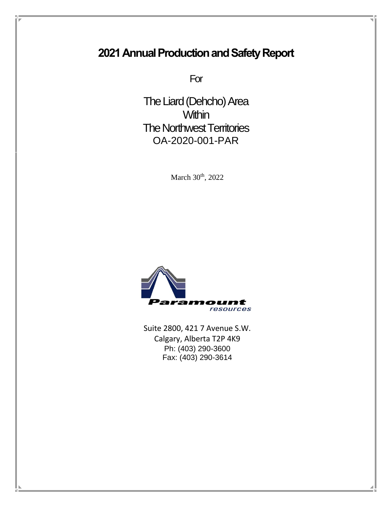# **2021 Annual Production and Safety Report**

For

The Liard (Dehcho) Area **Within** The Northwest Territories OA-2020-001-PAR

March 30<sup>th</sup>, 2022



Suite 2800, 421 7 Avenue S.W. Calgary, Alberta T2P 4K9 Ph: (403) 290-3600 Fax: (403) 290-3614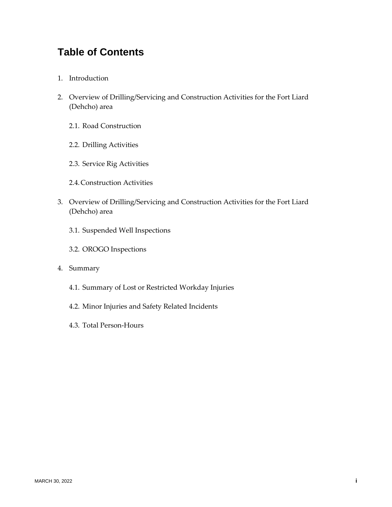## **Table of Contents**

- 1. Introduction
- 2. Overview of Drilling/Servicing and Construction Activities for the Fort Liard (Dehcho) area
	- 2.1. Road Construction
	- 2.2. Drilling Activities
	- 2.3. Service Rig Activities
	- 2.4.Construction Activities
- 3. Overview of Drilling/Servicing and Construction Activities for the Fort Liard (Dehcho) area
	- 3.1. Suspended Well Inspections
	- 3.2. OROGO Inspections
- 4. Summary
	- 4.1. Summary of Lost or Restricted Workday Injuries
	- 4.2. Minor Injuries and Safety Related Incidents
	- 4.3. Total Person-Hours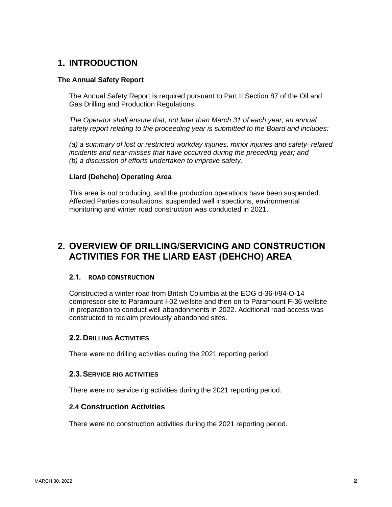## **1. INTRODUCTION**

#### **The Annual Safety Report**

The Annual Safety Report is required pursuant to Part II Section 87 of the Oil and Gas Drilling and Production Regulations:

*The Operator shall ensure that, not later than March 31 of each year, an annual safety report relating to the proceeding year is submitted to the Board and includes:*

*(a) a summary of lost or restricted workday injuries, minor injuries and safety–related incidents and near-misses that have occurred during the preceding year; and (b) a discussion of efforts undertaken to improve safety.*

#### **Liard (Dehcho) Operating Area**

This area is not producing, and the production operations have been suspended. Affected Parties consultations, suspended well inspections, environmental monitoring and winter road construction was conducted in 2021.

## **2. OVERVIEW OF DRILLING/SERVICING AND CONSTRUCTION ACTIVITIES FOR THE LIARD EAST (DEHCHO) AREA**

#### **2.1. ROAD CONSTRUCTION**

Constructed a winter road from British Columbia at the EOG d-36-I/94-O-14 compressor site to Paramount I-02 wellsite and then on to Paramount F-36 wellsite in preparation to conduct well abandonments in 2022. Additional road access was constructed to reclaim previously abandoned sites.

#### **2.2.DRILLING ACTIVITIES**

There were no drilling activities during the 2021 reporting period.

#### **2.3.SERVICE RIG ACTIVITIES**

There were no service rig activities during the 2021 reporting period.

#### **2.4 Construction Activities**

There were no construction activities during the 2021 reporting period.